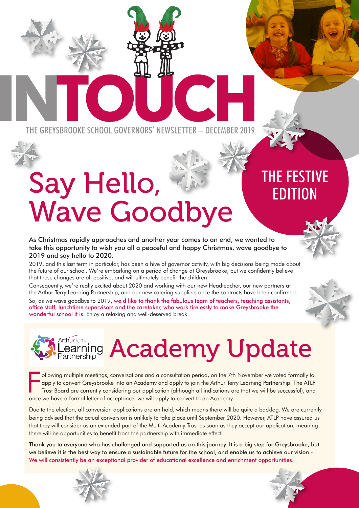THE GREYSBROOKE SCHOOL GOVERNORS' NEWSLETTER – DECEMBER 2019

# Say Hello, Wave Goodbye

### THE FESTIVE EDITION

As Christmas rapidly approaches and another year comes to an end, we wanted to take this opportunity to wish you all a peaceful and happy Christmas, wave goodbye to 2019 and say hello to 2020.

2019, and this last term in particular, has been a hive of governor activity, with big decisions being made about the future of our school. We're embarking on a period of change at Greysbrooke, but we confidently believe that these changes are all positive, and will ultimately benefit the children.

Consequently, we're really excited about 2020 and working with our new Headteacher, our new partners at the Arthur Terry Learning Partnership, and our new catering suppliers once the contracts have been confirmed.

So, as we wave goodbye to 2019, we'd like to thank the fabulous team of teachers, teaching assistants, office staff, lunchtime supervisors and the caretaker, who work tirelessly to make Greysbrooke the wonderful school it is. Enjoy a relaxing and well-deserved break.



# Academy Update

F ollowing multiple meetings, conversations and a consultation period, on the 7th November we voted formally to apply to convert Greysbrooke into an Academy and apply to join the Arthur Terry Learning Partnership. The ATLP Trust Board are currently considering our application (although all indications are that we will be successful), and once we have a formal letter of acceptance, we will apply to convert to an Academy.

Due to the election, all conversion applications are on hold, which means there will be quite a backlog. We are currently being advised that the actual conversion is unlikely to take place until September 2020. However, ATLP have assured us that they will consider us an extended part of the Multi-Academy Trust as soon as they accept our application, meaning there will be opportunities to benefit from the partnership with immediate effect.

Thank you to everyone who has challenged and supported us on this journey. It is a big step for Greysbrooke, but we believe it is the best way to ensure a sustainable future for the school, and enable us to achieve our vision -We will consistently be an exceptional provider of educational excellence and enrichment opportunities.



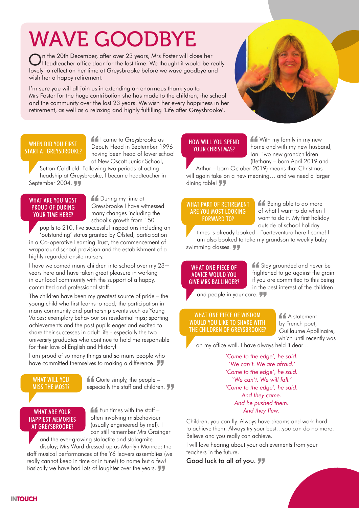### WAVE GOODBYE

On the 20th December, after over 23 years, Mrs Foster will close her<br>Headteacher office door for the last time. We thought it would be really lovely to reflect on her time at Greysbrooke before we wave goodbye and wish her a happy retirement.

I'm sure you will all join us in extending an enormous thank you to Mrs Foster for the huge contribution she has made to the children, the school and the community over the last 23 years. We wish her every happiness in her retirement, as well as a relaxing and highly fulfilling 'Life after Greysbrooke'.

#### WHEN DID YOU FIRST START AT GREYSBROOKE?

**If** I came to Greysbrooke as Deputy Head in September 1996 having been head of lower school at New Oscott Junior School,

Sutton Coldfield. Following two periods of acting headship at Greysbrooke, I became headteacher in September 2004.

#### WHAT ARE YOU MOST PROUD OF DURING YOUR TIME HERE?

**11** During my time at Greysbrooke I have witnessed many changes including the school's growth from 150

pupils to 210, five successful inspections including an 'outstanding' status granted by Ofsted, participation in a Co-operative Learning Trust, the commencement of wraparound school provision and the establishment of a highly regarded onsite nursery.

I have welcomed many children into school over my 23+ years here and have taken great pleasure in working in our local community with the support of a happy, committed and professional staff.

The children have been my greatest source of pride – the young child who first learns to read; the participation in many community and partnership events such as Young Voices; exemplary behaviour on residential trips; sporting achievements and the past pupils eager and excited to share their successes in adult life - especially the two university graduates who continue to hold me responsible for their love of English and History!

I am proud of so many things and so many people who have committed themselves to making a difference.

#### WHAT WILL YOU MISS THE MOST?

 $\triangle$  Quite simply, the people especially the staff and children.

#### WHAT ARE YOUR HAPPIEST MEMORIES AT GREYSBROOKE?

 $f$  Fun times with the staff  $$ often involving misbehaviour (usually engineered by me!). I can still remember Mrs Grainger

and the ever-growing stalactite and stalagmite display; Mrs Ward dressed up as Marilyn Monroe; the staff musical performances at the Y6 leavers assemblies (we really cannot keep in time or in tune!) to name but a few! Basically we have had lots of laughter over the years.

#### HOW WILL YOU SPEND YOUR CHRISTMAS?

K<sup>a</sup> With my family in my new home and with my new husband, Ian. Two new grandchildren (Bethany – born April 2019 and

Arthur – born October 2019) means that Christmas will again take on a new meaning… and we need a larger dining table!

#### WHAT PART OF RETIREMENT ARE YOU MOST LOOKING FORWARD TO?

**11** Being able to do more of what I want to do when I want to do it. My first holiday outside of school holiday

times is already booked - Fuerteventura here I come! I am also booked to take my grandson to weekly baby swimming classes.

#### WHAT ONE PIECE OF ADVICE WOULD YOU GIVE MRS BALLINGER?

**11** Stay grounded and never be frightened to go against the grain if you are committed to this being in the best interest of the children

and people in your care.

#### WHAT ONE PIECE OF WISDOM WOULD YOU LIKE TO SHARE WITH THE CHILDREN OF GREYSBROOKE?

**A** A statement by French poet, Guillaume Apollinaire, which until recently was

on my office wall. I have always held it dear…

*'Come to the edge', he said. `We can't. We are afraid.' 'Come to the edge', he said. `We can't. We will fall.' 'Come to the edge', he said. And they came. And he pushed them. And they flew.*

Children, you can fly. Always have dreams and work hard to achieve them. Always try your best…you can do no more. Believe and you really can achieve.

I will love hearing about your achievements from your teachers in the future.

Good luck to all of you. 77

**INTOUCH**